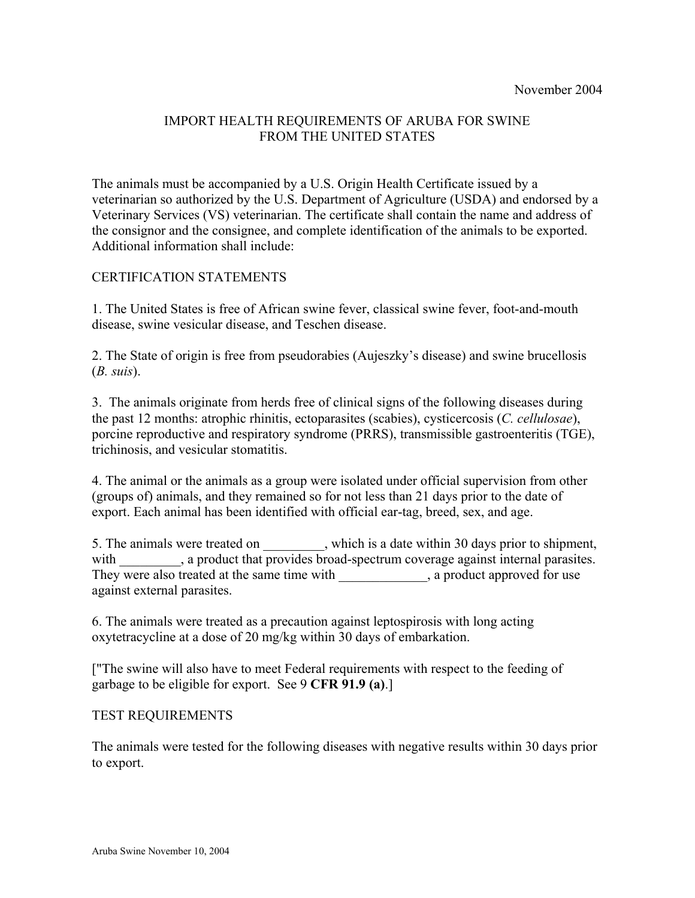## IMPORT HEALTH REQUIREMENTS OF ARUBA FOR SWINE FROM THE UNITED STATES

The animals must be accompanied by a U.S. Origin Health Certificate issued by a veterinarian so authorized by the U.S. Department of Agriculture (USDA) and endorsed by a Veterinary Services (VS) veterinarian. The certificate shall contain the name and address of the consignor and the consignee, and complete identification of the animals to be exported. Additional information shall include:

## CERTIFICATION STATEMENTS

1. The United States is free of African swine fever, classical swine fever, foot-and-mouth disease, swine vesicular disease, and Teschen disease.

2. The State of origin is free from pseudorabies (Aujeszky's disease) and swine brucellosis (*B. suis*).

3. The animals originate from herds free of clinical signs of the following diseases during the past 12 months: atrophic rhinitis, ectoparasites (scabies), cysticercosis (*C. cellulosae*), porcine reproductive and respiratory syndrome (PRRS), transmissible gastroenteritis (TGE), trichinosis, and vesicular stomatitis.

4. The animal or the animals as a group were isolated under official supervision from other (groups of) animals, and they remained so for not less than 21 days prior to the date of export. Each animal has been identified with official ear-tag, breed, sex, and age.

5. The animals were treated on \_\_\_\_\_\_\_\_, which is a date within 30 days prior to shipment, with \_\_\_\_\_\_\_\_, a product that provides broad-spectrum coverage against internal parasites. They were also treated at the same time with , a product approved for use against external parasites.

6. The animals were treated as a precaution against leptospirosis with long acting oxytetracycline at a dose of 20 mg/kg within 30 days of embarkation.

["The swine will also have to meet Federal requirements with respect to the feeding of garbage to be eligible for export. See 9 **CFR 91.9 (a)**.]

#### TEST REQUIREMENTS

The animals were tested for the following diseases with negative results within 30 days prior to export.